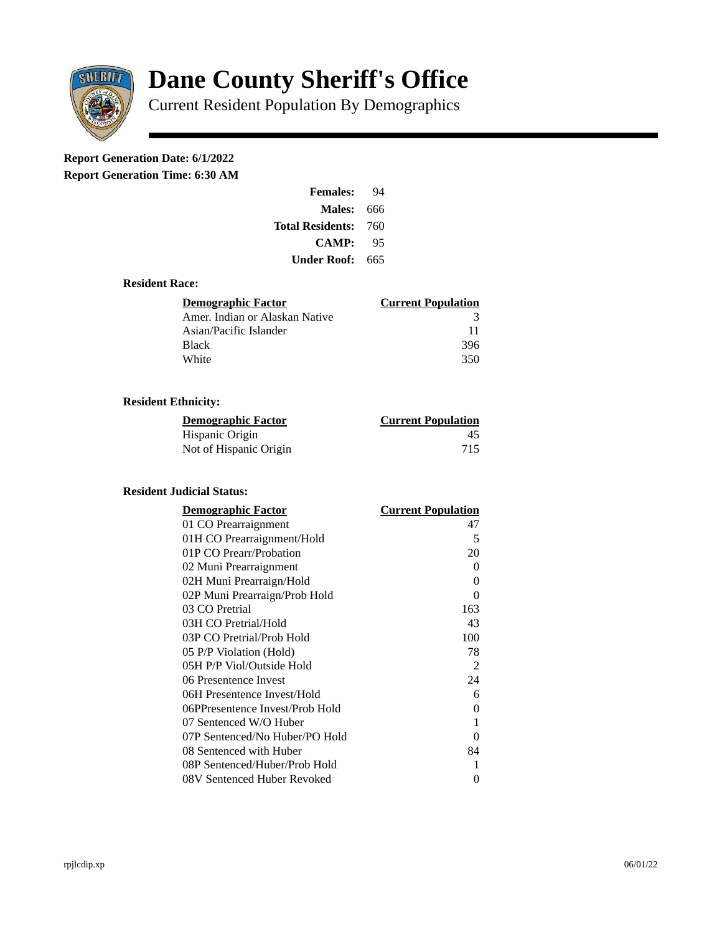

# **Dane County Sheriff's Office**

Current Resident Population By Demographics

# **Report Generation Date: 6/1/2022**

**Report Generation Time: 6:30 AM** 

| <b>Females:</b>         | 94   |
|-------------------------|------|
| <b>Males: 666</b>       |      |
| <b>Total Residents:</b> | -760 |
| <b>CAMP:</b>            | 95   |
| Under Roof:             | -665 |

#### **Resident Race:**

| Demographic Factor             | <b>Current Population</b> |
|--------------------------------|---------------------------|
| Amer. Indian or Alaskan Native | 3                         |
| Asian/Pacific Islander         | 11                        |
| <b>Black</b>                   | 396                       |
| White                          | 350                       |

## **Resident Ethnicity:**

| <u>Demographic Factor</u> | <b>Current Population</b> |
|---------------------------|---------------------------|
| Hispanic Origin           | 45                        |
| Not of Hispanic Origin    | 715                       |

#### **Resident Judicial Status:**

| <b>Demographic Factor</b>       | <b>Current Population</b> |
|---------------------------------|---------------------------|
| 01 CO Prearraignment            | 47                        |
| 01H CO Prearraignment/Hold      | 5                         |
| 01P CO Prearr/Probation         | 20                        |
| 02 Muni Prearraignment          | 0                         |
| 02H Muni Prearraign/Hold        | 0                         |
| 02P Muni Prearraign/Prob Hold   | 0                         |
| 03 CO Pretrial                  | 163                       |
| 03H CO Pretrial/Hold            | 43                        |
| 03P CO Pretrial/Prob Hold       | 100                       |
| 05 P/P Violation (Hold)         | 78                        |
| 05H P/P Viol/Outside Hold       | 2                         |
| 06 Presentence Invest           | 24                        |
| 06H Presentence Invest/Hold     | 6                         |
| 06PPresentence Invest/Prob Hold | 0                         |
| 07 Sentenced W/O Huber          | 1                         |
| 07P Sentenced/No Huber/PO Hold  | 0                         |
| 08 Sentenced with Huber         | 84                        |
| 08P Sentenced/Huber/Prob Hold   | 1                         |
| 08V Sentenced Huber Revoked     | 0                         |